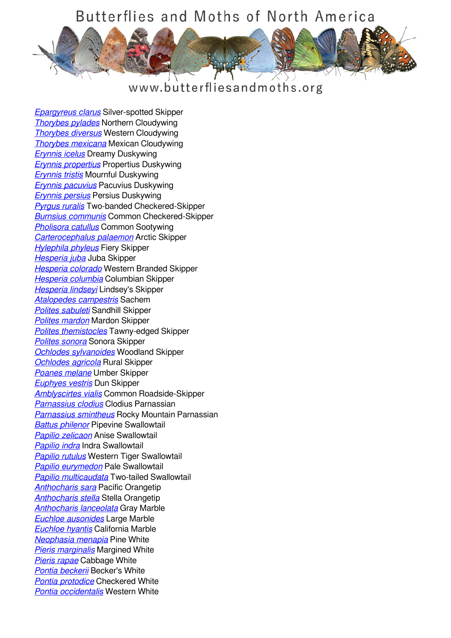

#### www.butterfliesandmoths.org

*[Epargyreus clarus](/species/Epargyreus-clarus)* Silver-spotted Skipper *[Thorybes pylades](/species/Thorybes-pylades)* Northern Cloudywing *[Thorybes diversus](/species/Thorybes-diversus)* Western Cloudywing *[Thorybes mexicana](/species/Thorybes-mexicana)* Mexican Cloudywing *[Erynnis icelus](/species/Erynnis-icelus)* Dreamy Duskywing *[Erynnis propertius](/species/Erynnis-propertius)* Propertius Duskywing *[Erynnis tristis](/species/Erynnis-tristis)* Mournful Duskywing *[Erynnis pacuvius](/species/Erynnis-pacuvius)* Pacuvius Duskywing *[Erynnis persius](/species/Erynnis-persius)* Persius Duskywing *[Pyrgus ruralis](/species/Pyrgus-ruralis)* Two-banded Checkered-Skipper *[Burnsius communis](/species/Pyrgus-communis)* Common Checkered-Skipper *[Pholisora catullus](/species/Pholisora-catullus)* Common Sootywing *[Carterocephalus palaemon](/species/Carterocephalus-palaemon)* Arctic Skipper *[Hylephila phyleus](/species/Hylephila-phyleus)* Fiery Skipper *[Hesperia juba](/species/Hesperia-juba)* Juba Skipper *[Hesperia colorado](/species/Hesperia-colorado)* Western Branded Skipper *[Hesperia columbia](/species/Hesperia-columbia)* Columbian Skipper *[Hesperia lindseyi](/species/Hesperia-lindseyi)* Lindsey's Skipper *[Atalopedes campestris](/species/Atalopedes-campestris)* Sachem *[Polites sabuleti](/species/Polites-sabuleti)* Sandhill Skipper *[Polites mardon](/species/Polites-mardon)* Mardon Skipper *[Polites themistocles](/species/Polites-themistocles)* Tawny-edged Skipper *[Polites sonora](/species/Polites-sonora)* Sonora Skipper *[Ochlodes sylvanoides](/species/Ochlodes-sylvanoides)* Woodland Skipper *[Ochlodes agricola](/species/Ochlodes-agricola)* Rural Skipper *[Poanes melane](/species/Poanes-melane)* Umber Skipper *[Euphyes vestris](/species/Euphyes-vestris)* Dun Skipper *[Amblyscirtes vialis](/species/Amblyscirtes-vialis)* Common Roadside-Skipper *[Parnassius clodius](/species/Parnassius-clodius)* Clodius Parnassian *[Parnassius smintheus](/species/Parnassius-smintheus)* Rocky Mountain Parnassian *[Battus philenor](/species/Battus-philenor)* Pipevine Swallowtail *[Papilio zelicaon](/species/Papilio-zelicaon)* Anise Swallowtail *[Papilio indra](/species/Papilio-indra)* Indra Swallowtail *[Papilio rutulus](/species/Papilio-rutulus)* Western Tiger Swallowtail *[Papilio eurymedon](/species/Papilio-eurymedon)* Pale Swallowtail *[Papilio multicaudata](/species/Papilio-multicaudata)* Two-tailed Swallowtail *[Anthocharis sara](/species/Anthocharis-sara)* Pacific Orangetip *[Anthocharis stella](/species/Anthocharis-stella)* Stella Orangetip *[Anthocharis lanceolata](/species/Anthocharis-lanceolata)* Gray Marble *[Euchloe ausonides](/species/Euchloe-ausonides)* Large Marble *[Euchloe hyantis](/species/Euchloe-hyantis)* California Marble *[Neophasia menapia](/species/Neophasia-menapia)* Pine White *[Pieris marginalis](/species/Pieris-marginalis)* Margined White *[Pieris rapae](/species/Pieris-rapae)* Cabbage White *[Pontia beckerii](/species/Pontia-beckerii)* Becker's White *[Pontia protodice](/species/Pontia-protodice)* Checkered White *[Pontia occidentalis](/species/Pontia-occidentalis)* Western White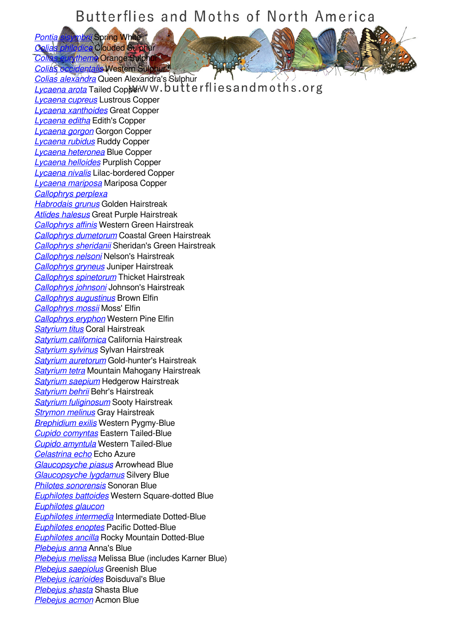*[Pontia sisymbrii](/species/Pontia-sisymbrii)* Spring White *[Colias philodice](/species/Colias-philodice)* Clouded Sulphur **Artheme** Orange Sulphur

*[Colias occidentalis](/species/Colias-occidentalis)* Western Sulphur *[Colias alexandra](/species/Colias-alexandra)* Queen Alexandra's Sulphur **[Lycaena arota](/species/Lycaena-arota)** Tailed Copper WW.butterfliesand moths.org *[Lycaena cupreus](/species/Lycaena-cupreus)* Lustrous Copper *[Lycaena xanthoides](/species/Lycaena-xanthoides)* Great Copper *[Lycaena editha](/species/Lycaena-editha)* Edith's Copper *[Lycaena gorgon](/species/Lycaena-gorgon)* Gorgon Copper *[Lycaena rubidus](/species/Lycaena-rubidus)* Ruddy Copper *[Lycaena heteronea](/species/Lycaena-heteronea)* Blue Copper *[Lycaena helloides](/species/Lycaena-helloides)* Purplish Copper *[Lycaena nivalis](/species/Lycaena-nivalis)* Lilac-bordered Copper *[Lycaena mariposa](/species/Lycaena-mariposa)* Mariposa Copper *[Callophrys perplexa](/species/Callophrys-perplexa) [Habrodais grunus](/species/Habrodais-grunus)* Golden Hairstreak *[Atlides halesus](/species/Atlides-halesus)* Great Purple Hairstreak *[Callophrys affinis](/species/Callophrys-affinis)* Western Green Hairstreak *[Callophrys dumetorum](/species/Callophrys-dumetorum)* Coastal Green Hairstreak *[Callophrys sheridanii](/species/Callophrys-sheridanii)* Sheridan's Green Hairstreak *[Callophrys nelsoni](/species/Callophrys-nelsoni)* Nelson's Hairstreak *[Callophrys gryneus](/species/Callophrys-gryneus)* Juniper Hairstreak *[Callophrys spinetorum](/species/Callophrys-spinetorum)* Thicket Hairstreak *[Callophrys johnsoni](/species/Callophrys-johnsoni)* Johnson's Hairstreak *[Callophrys augustinus](/species/Callophrys-augustinus)* Brown Elfin *[Callophrys mossii](/species/Callophrys-mossii)* Moss' Elfin *[Callophrys eryphon](/species/Callophrys-eryphon)* Western Pine Elfin *[Satyrium titus](/species/Satyrium-titus)* Coral Hairstreak *[Satyrium californica](/species/Satyrium-californica)* California Hairstreak *[Satyrium sylvinus](/species/Satyrium-sylvinus)* Sylvan Hairstreak *[Satyrium auretorum](/species/Satyrium-auretorum)* Gold-hunter's Hairstreak *[Satyrium tetra](/species/Satyrium-tetra)* Mountain Mahogany Hairstreak *[Satyrium saepium](/species/Satyrium-saepium)* Hedgerow Hairstreak *[Satyrium behrii](/species/Satyrium-behrii)* Behr's Hairstreak *[Satyrium fuliginosum](/species/Satyrium-fuliginosum)* Sooty Hairstreak *[Strymon melinus](/species/Strymon-melinus)* Gray Hairstreak *[Brephidium exilis](/species/Brephidium-exilis)* Western Pygmy-Blue *[Cupido comyntas](/species/Cupido-comyntas)* Eastern Tailed-Blue *[Cupido amyntula](/species/Cupido-amyntula)* Western Tailed-Blue *[Celastrina echo](/species/Celastrina-echo)* Echo Azure *[Glaucopsyche piasus](/species/Glaucopsyche-piasus)* Arrowhead Blue *[Glaucopsyche lygdamus](/species/Glaucopsyche-lygdamus)* Silvery Blue *[Philotes sonorensis](/species/Philotes-sonorensis)* Sonoran Blue *[Euphilotes battoides](/species/Euphilotes-battoides)* Western Square-dotted Blue *[Euphilotes glaucon](/species/Euphilotes-glaucon) [Euphilotes intermedia](/species/Euphilotes-intermedia)* Intermediate Dotted-Blue *[Euphilotes enoptes](/species/Euphilotes-enoptes)* Pacific Dotted-Blue *[Euphilotes ancilla](/species/Euphilotes-ancilla)* Rocky Mountain Dotted-Blue *[Plebejus anna](/species/Plebejus-anna)* Anna's Blue *[Plebejus melissa](/species/Plebejus-melissa)* Melissa Blue (includes Karner Blue) *[Plebejus saepiolus](/species/Plebejus-saepiolus)* Greenish Blue *[Plebejus icarioides](/species/Plebejus-icarioides)* Boisduval's Blue *[Plebejus shasta](/species/Plebejus-shasta)* Shasta Blue *[Plebejus acmon](/species/Plebejus-acmon)* Acmon Blue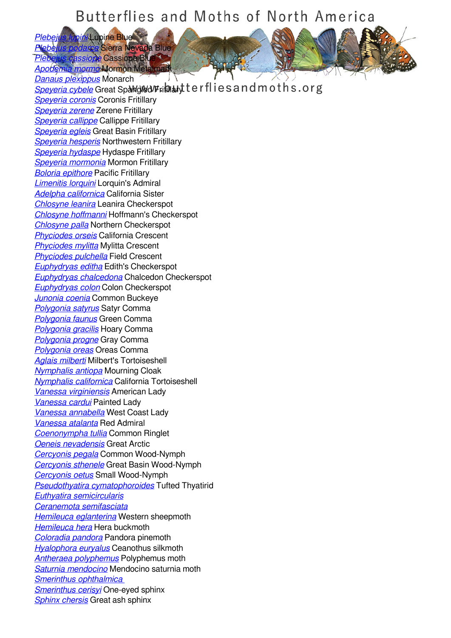**Principle Blue** *Pegesterra Nevada Blue [Plebejus cassiope](/species/Plebejus-cassiope)* Cassiope Blue *[Apodemia mormo](/species/Apodemia-mormo)* Mormon Metalmark

*[Danaus plexippus](/species/Danaus-plexippus)* Monarch **[Speyeria cybele](/species/Speyeria-cybele)** Great Spangled Fritillary terflies and moths.org *[Speyeria coronis](/species/Speyeria-coronis)* Coronis Fritillary *[Speyeria zerene](/species/Speyeria-zerene)* Zerene Fritillary *[Speyeria callippe](/species/Speyeria-callippe)* Callippe Fritillary *[Speyeria egleis](/species/Speyeria-egleis)* Great Basin Fritillary *[Speyeria hesperis](/species/Speyeria-hesperis)* Northwestern Fritillary *[Speyeria hydaspe](/species/Speyeria-hydaspe)* Hydaspe Fritillary *[Speyeria mormonia](/species/Speyeria-mormonia)* Mormon Fritillary *[Boloria epithore](/species/Boloria-epithore)* Pacific Fritillary *[Limenitis lorquini](/species/Limenitis-lorquini)* Lorquin's Admiral *[Adelpha californica](/species/Adelpha-californica)* California Sister *[Chlosyne leanira](/species/Chlosyne-leanira)* Leanira Checkerspot *[Chlosyne hoffmanni](/species/Chlosyne-hoffmanni)* Hoffmann's Checkerspot *[Chlosyne palla](/species/Chlosyne-palla)* Northern Checkerspot *[Phyciodes orseis](/species/Phyciodes-orseis)* California Crescent *[Phyciodes mylitta](/species/Phyciodes-mylitta)* Mylitta Crescent *[Phyciodes pulchella](/species/Phyciodes-pulchella)* Field Crescent *[Euphydryas editha](/species/Euphydryas-editha)* Edith's Checkerspot *[Euphydryas chalcedona](/species/Euphydryas-chalcedona)* Chalcedon Checkerspot *[Euphydryas colon](/species/Euphydryas-colon)* Colon Checkerspot *[Junonia coenia](/species/Junonia-coenia)* Common Buckeye *[Polygonia satyrus](/species/Polygonia-satyrus)* Satyr Comma *[Polygonia faunus](/species/Polygonia-faunus)* Green Comma *[Polygonia gracilis](/species/Polygonia-gracilis)* Hoary Comma *[Polygonia progne](/species/Polygonia-progne)* Gray Comma *[Polygonia oreas](/species/Polygonia-oreas)* Oreas Comma *[Aglais milberti](/species/Aglais-milberti)* Milbert's Tortoiseshell *[Nymphalis antiopa](/species/Nymphalis-antiopa)* Mourning Cloak *[Nymphalis californica](/species/Nymphalis-californica)* California Tortoiseshell *[Vanessa virginiensis](/species/Vanessa-virginiensis)* American Lady *[Vanessa cardui](/species/Vanessa-cardui)* Painted Lady *[Vanessa annabella](/species/Vanessa-annabella)* West Coast Lady *[Vanessa atalanta](/species/Vanessa-atalanta)* Red Admiral *[Coenonympha tullia](/species/Coenonympha-tullia)* Common Ringlet *[Oeneis nevadensis](/species/Oeneis-nevadensis)* Great Arctic *[Cercyonis pegala](/species/Cercyonis-pegala)* Common Wood-Nymph *[Cercyonis sthenele](/species/Cercyonis-sthenele)* Great Basin Wood-Nymph *[Cercyonis oetus](/species/Cercyonis-oetus)* Small Wood-Nymph *[Pseudothyatira cymatophoroides](/species/Pseudothyatira-cymatophoroides)* Tufted Thyatirid *[Euthyatira semicircularis](/species/Euthyatira-semicircularis) [Ceranemota semifasciata](/species/Ceranemota-semifasciata) [Hemileuca eglanterina](/species/Hemileuca-eglanterina)* Western sheepmoth *[Hemileuca hera](/species/Hemileuca-hera)* Hera buckmoth *[Coloradia pandora](/species/Coloradia-pandora)* Pandora pinemoth *[Hyalophora euryalus](/species/Hyalophora-euryalus)* Ceanothus silkmoth *[Antheraea polyphemus](/species/Antheraea-polyphemus)* Polyphemus moth *[Saturnia mendocino](/species/Saturnia-mendocino)* Mendocino saturnia moth *[Smerinthus ophthalmica](/species/smerinthus-ophthalmica)  [Smerinthus cerisyi](/species/Smerinthus-cerisyi)* One-eyed sphinx *[Sphinx chersis](/species/Sphinx-chersis)* Great ash sphinx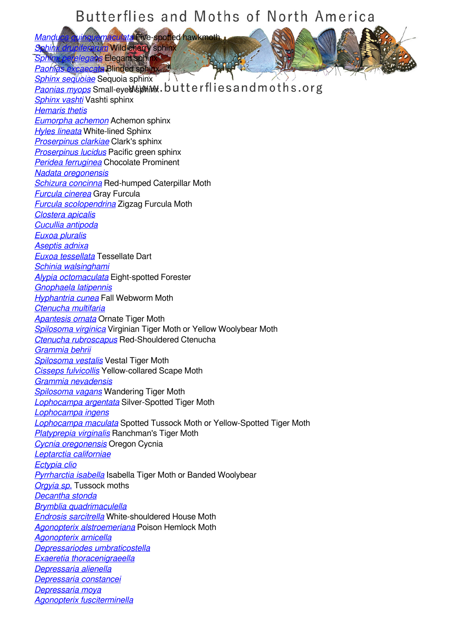*[Manduca quinquemaculata](/species/Manduca-quinquemaculata)* Five-spotted hawkmoth *[Sphinx drupiferarum](/species/Sphinx-drupiferarum)* Wild cherry sphinx

*elegans* Elegant sphi *[Paonias excaecata](/species/Paonias-excaecata)* Blinded sphinx

*[Sphinx sequoiae](/species/Sphinx-sequoiae)* Sequoia sphinx **[Paonias myops](/species/Paonias-myops)** Small-eye WebMinx.butterflies and moths.org *[Sphinx vashti](/species/Sphinx-vashti)* Vashti sphinx *[Hemaris thetis](/species/Hemaris-thetis) [Eumorpha achemon](/species/Eumorpha-achemon)* Achemon sphinx *[Hyles lineata](/species/Hyles-lineata)* White-lined Sphinx *[Proserpinus clarkiae](/species/Proserpinus-clarkiae)* Clark's sphinx *[Proserpinus lucidus](/species/Proserpinus-lucidus)* Pacific green sphinx *[Peridea ferruginea](/species/Peridea-ferruginea)* Chocolate Prominent *[Nadata oregonensis](/species/Nadata-oregonensis) [Schizura concinna](/species/Schizura-concinna)* Red-humped Caterpillar Moth *[Furcula cinerea](/species/Furcula-cinerea)* Gray Furcula *[Furcula scolopendrina](/species/Furcula-scolopendrina)* Zigzag Furcula Moth *[Clostera apicalis](/species/Clostera-apicalis) [Cucullia antipoda](/species/Cucullia-antipoda) [Euxoa pluralis](/species/Euxoa-pluralis) [Aseptis adnixa](/species/Aseptis-adnixa) [Euxoa tessellata](/species/Euxoa-tessellata)* Tessellate Dart *[Schinia walsinghami](/species/Schinia-walsinghami) [Alypia octomaculata](/species/Alypia-octomaculata)* Eight-spotted Forester *[Gnophaela latipennis](/species/Gnophaela-latipennis) [Hyphantria cunea](/species/Hyphantria-cunea)* Fall Webworm Moth *[Ctenucha multifaria](/species/Ctenucha-multifaria) [Apantesis ornata](/species/Apantesis-ornata)* Ornate Tiger Moth *[Spilosoma virginica](/species/Spilosoma-virginica)* Virginian Tiger Moth or Yellow Woolybear Moth *[Ctenucha rubroscapus](/species/Ctenucha-rubroscapus)* Red-Shouldered Ctenucha *[Grammia behrii](/species/Grammia-behrii) [Spilosoma vestalis](/species/Spilosoma-vestalis)* Vestal Tiger Moth *[Cisseps fulvicollis](/species/Cisseps-fulvicollis)* Yellow-collared Scape Moth *[Grammia nevadensis](/species/Grammia-nevadensis) [Spilosoma vagans](/species/Spilosoma-vagans)* Wandering Tiger Moth *[Lophocampa argentata](/species/Lophocampa-argentata)* Silver-Spotted Tiger Moth *[Lophocampa ingens](/species/Lophocampa-ingens) [Lophocampa maculata](/species/Lophocampa-maculata)* Spotted Tussock Moth or Yellow-Spotted Tiger Moth *[Platyprepia virginalis](/species/Platyprepia-virginalis)* Ranchman's Tiger Moth *[Cycnia oregonensis](/species/Cycnia-oregonensis)* Oregon Cycnia *[Leptarctia californiae](/species/Leptarctia-californiae) [Ectypia clio](/species/Ectypia-clio) [Pyrrharctia isabella](/species/Pyrrharctia-isabella)* Isabella Tiger Moth or Banded Woolybear *[Orgyia sp.](/species/orgyia-sp)* Tussock moths *[Decantha stonda](/species/Decantha-stonda) [Brymblia quadrimaculella](/species/Brymblia-quadrimaculella) [Endrosis sarcitrella](/species/Endrosis-sarcitrella)* White-shouldered House Moth *[Agonopterix alstroemeriana](/species/Agonopterix-alstroemeriana)* Poison Hemlock Moth *[Agonopterix arnicella](/species/Agonopterix-arnicella) [Depressariodes umbraticostella](/species/Depressariodes-umbraticostella) [Exaeretia thoracenigraeella](/species/Exaeretia-thoracenigraeella) [Depressaria alienella](/species/Depressaria-alienella) [Depressaria constancei](/species/Depressaria-constancei) [Depressaria moya](/species/Depressaria-moya) [Agonopterix fusciterminella](/species/Agonopterix-fusciterminella)*